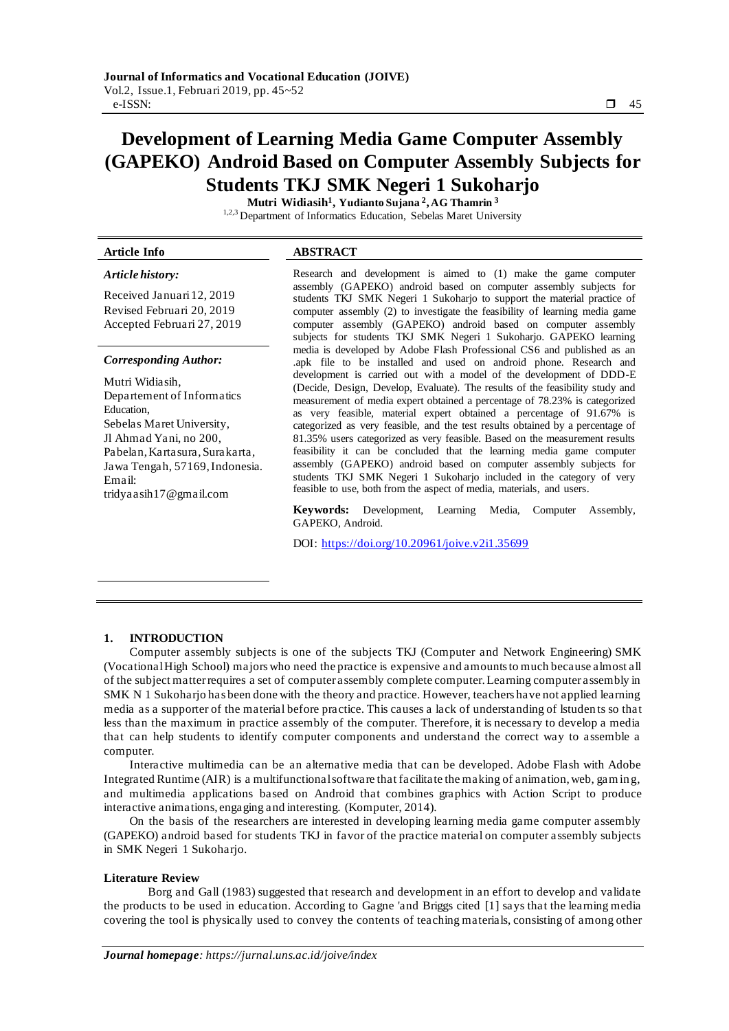# **Development of Learning Media Game Computer Assembly (GAPEKO) Android Based on Computer Assembly Subjects for Students TKJ SMK Negeri 1 Sukoharjo**

**Mutri Widiasih<sup>1</sup> , Yudianto Sujana <sup>2</sup> , AG Thamrin <sup>3</sup>** 1,2,3 Department of Informatics Education, Sebelas Maret University

# **Article Info ABSTRACT**

#### *Article history:*

Received Januari12, 2019 Revised Februari 20, 2019 Accepted Februari 27, 2019

#### *Corresponding Author:*

Mutri Widiasih, Departement of Informatics Education, Sebelas Maret University, Jl Ahmad Yani, no 200, Pabelan, Kartasura, Surakarta, Jawa Tengah, 57169, Indonesia. Email: tridyaasih17@gmail.com

Research and development is aimed to (1) make the game computer assembly (GAPEKO) android based on computer assembly subjects for students TKJ SMK Negeri 1 Sukoharjo to support the material practice of computer assembly (2) to investigate the feasibility of learning media game computer assembly (GAPEKO) android based on computer assembly subjects for students TKJ SMK Negeri 1 Sukoharjo. GAPEKO learning media is developed by Adobe Flash Professional CS6 and published as an .apk file to be installed and used on android phone. Research and development is carried out with a model of the development of DDD-E (Decide, Design, Develop, Evaluate). The results of the feasibility study and measurement of media expert obtained a percentage of 78.23% is categorized as very feasible, material expert obtained a percentage of 91.67% is categorized as very feasible, and the test results obtained by a percentage of 81.35% users categorized as very feasible. Based on the measurement results feasibility it can be concluded that the learning media game computer assembly (GAPEKO) android based on computer assembly subjects for students TKJ SMK Negeri 1 Sukoharjo included in the category of very feasible to use, both from the aspect of media, materials, and users.

**Keywords:** Development, Learning Media, Computer Assembly, GAPEKO, Android.

DOI:<https://doi.org/10.20961/joive.v2i1.35699>

#### **1. INTRODUCTION**

Computer assembly subjects is one of the subjects TKJ (Computer and Network Engineering) SMK (Vocational High School) majors who need the practice is expensive and amounts to much because almost all of the subject matter requires a set of computer assembly complete computer. Learning computer assembly in SMK N 1 Sukoharjo has been done with the theory and practice. However, teachers have not applied learning media as a supporter of the material before practice. This causes a lack of understanding of lstuden ts so that less than the maximum in practice assembly of the computer. Therefore, it is necessary to develop a media that can help students to identify computer components and understand the correct way to assemble a computer.

Interactive multimedia can be an alternative media that can be developed. Adobe Flash with Adobe Integrated Runtime (AIR) is a multifunctional software that facilitate the making of animation, web, gam ing, and multimedia applications based on Android that combines graphics with Action Script to produce interactive animations, engaging and interesting. (Komputer, 2014).

On the basis of the researchers are interested in developing learning media game computer assembly (GAPEKO) android based for students TKJ in favor of the practice material on computer assembly subjects in SMK Negeri 1 Sukoharjo.

#### **Literature Review**

Borg and Gall (1983) suggested that research and development in an effort to develop and validate the products to be used in education. According to Gagne 'and Briggs cited [1] says that the learning media covering the tool is physically used to convey the contents of teaching materials, consisting of among other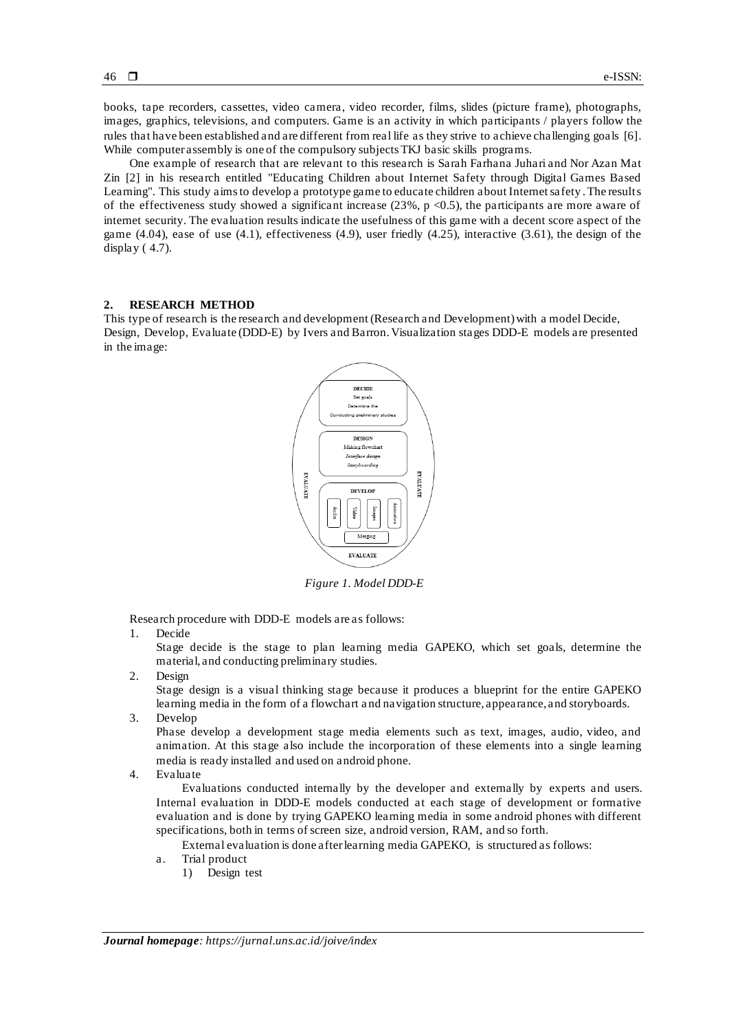books, tape recorders, cassettes, video camera, video recorder, films, slides (picture frame), photographs, images, graphics, televisions, and computers. Game is an activity in which participants / players follow the rules that have been established and are different from real life as they strive to achieve challenging goals [6]. While computer assembly is one of the compulsory subjects TKJ basic skills programs.

One example of research that are relevant to this research is Sarah Farhana Juhari and Nor Azan Mat Zin [2] in his research entitled "Educating Children about Internet Safety through Digital Games Based Learning". This study aims to develop a prototype game to educate children about Internet safety . The results of the effectiveness study showed a significant increase (23%, p  $\langle 0.5 \rangle$ , the participants are more aware of internet security. The evaluation results indicate the usefulness of this game with a decent score aspect of the game (4.04), ease of use (4.1), effectiveness (4.9), user friedly (4.25), interactive (3.61), the design of the display ( 4.7).

#### **2. RESEARCH METHOD**

This type of research is the research and development (Research and Development) with a model Decide, Design, Develop, Evaluate (DDD-E) by Ivers and Barron. Visualization stages DDD-E models are presented in the image:



*Figure 1. Model DDD-E*

Research procedure with DDD-E models are as follows:

1. Decide

Stage decide is the stage to plan learning media GAPEKO, which set goals, determine the material, and conducting preliminary studies.

2. Design

Stage design is a visual thinking stage because it produces a blueprint for the entire GAPEKO learning media in the form of a flowchart a nd navigation structure, appearance, and storyboards.

3. Develop

Phase develop a development stage media elements such as text, images, audio, video, and animation. At this stage also include the incorporation of these elements into a single learning media is ready installed and used on android phone.

4. Evaluate

Evaluations conducted internally by the developer and externally by experts and users. Internal evaluation in DDD-E models conducted at each stage of development or formative evaluation and is done by trying GAPEKO learning media in some android phones with different specifications, both in terms of screen size, android version, RAM, and so forth.

External evaluation is done after learning media GAPEKO, is structured as follows:

- a. Trial product
	- 1) Design test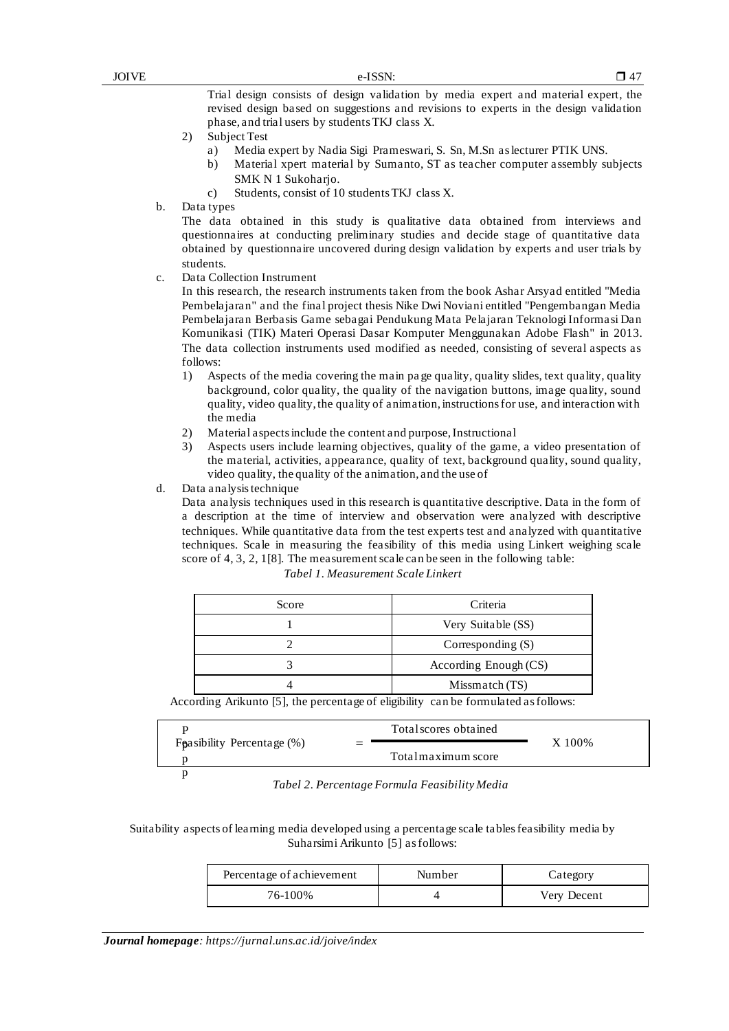Trial design consists of design validation by media expert and material expert, the revised design based on suggestions and revisions to experts in the design validation phase, and trial users by students TKJ class X.

- 2) Subject Test
	- a) Media expert by Nadia Sigi Prameswari, S. Sn, M.Sn as lecturer PTIK UNS.
	- b) Material xpert material by Sumanto, ST as teacher computer assembly subjects SMK N 1 Sukoharjo.
	- c) Students, consist of 10 students TKJ class X.
- b. Data types

The data obtained in this study is qualitative data obtained from interviews and questionnaires at conducting preliminary studies and decide stage of quantitative data obtained by questionnaire uncovered during design validation by experts and user trials by students.

c. Data Collection Instrument

In this research, the research instruments taken from the book Ashar Arsyad entitled "Media Pembelajaran" and the final project thesis Nike Dwi Noviani entitled "Pengembangan Media Pembelajaran Berbasis Game sebagai Pendukung Mata Pelajaran Teknologi Informasi Dan Komunikasi (TIK) Materi Operasi Dasar Komputer Menggunakan Adobe Flash" in 2013. The data collection instruments used modified as needed, consisting of several aspects as follows:

- 1) Aspects of the media covering the main pa ge quality, quality slides, text quality, quality background, color quality, the quality of the navigation buttons, image quality, sound quality, video quality, the quality of animation, instructions for use, and interaction with the media
- 2) Material aspects include the content and purpose, Instructional
- 3) Aspects users include learning objectives, quality of the game, a video presentation of the material, activities, appearance, quality of text, background quality, sound quality, video quality, the quality of the animation, and the use of
- d. Data analysis technique

Data analysis techniques used in this research is quantitative descriptive. Data in the form of a description at the time of interview and observation were analyzed with descriptive techniques. While quantitative data from the test experts test and analyzed with quantitative techniques. Scale in measuring the feasibility of this media using Linkert weighing scale score of 4, 3, 2, 1[8]. The measurement scale can be seen in the following table:

| Score | Criteria              |
|-------|-----------------------|
|       | Very Suitable (SS)    |
|       | Corresponding $(S)$   |
|       | According Enough (CS) |
|       | Missmatch (TS)        |

According Arikunto [5], the percentage of eligibility can be formulated as follows:

|                               | Total scores obtained |        |
|-------------------------------|-----------------------|--------|
| Foasibility Percentage $(\%)$ |                       | X 100% |
|                               | Total maximum score   |        |
|                               |                       |        |

*Tabel 2. Percentage Formula Feasibility Media*

# Suitability aspects of learning media developed using a percentage scale tables feasibility media by Suharsimi Arikunto [5] as follows:

| Percentage of achievement | Number | Category    |
|---------------------------|--------|-------------|
| 76-100%                   |        | Very Decent |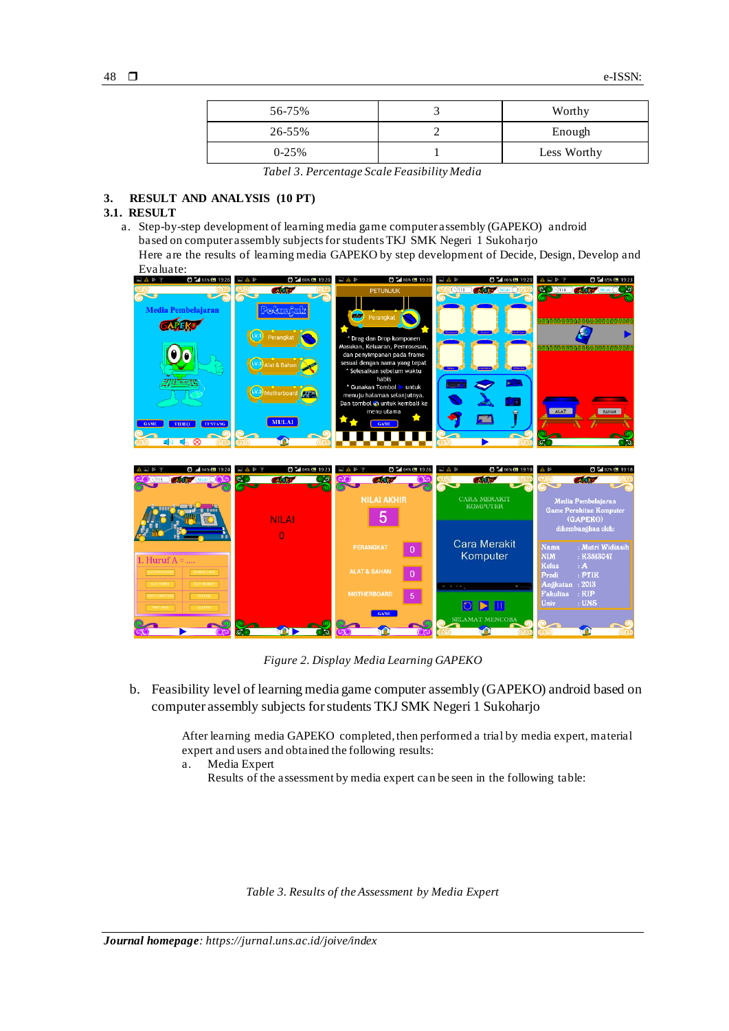| 56-75%  | Worthy      |
|---------|-------------|
| 26-55%  | Enough      |
| $0-25%$ | Less Worthy |

*Tabel 3. Percentage Scale Feasibility Media*

# **3. RESULT AND ANALYSIS (10 PT)**

# **3.1. RESULT**

a. Step-by-step development of learning media game computer assembly (GAPEKO) android based on computer assembly subjects for students TKJ SMK Negeri 1 Sukoharjo

Here are the results of learning media GAPEKO by step development of Decide, Design, Develop and  $Evaluate:$ 



*Figure 2. Display Media Learning GAPEKO*

b. Feasibility level of learning media game computer assembly (GAPEKO) android based on computer assembly subjects for students TKJ SMK Negeri 1 Sukoharjo

> After learning media GAPEKO completed, then performed a trial by media expert, material expert and users and obtained the following results:

- a. Media Expert
	- Results of the assessment by media expert can be seen in the following table:

*Table 3. Results of the Assessment by Media Expert*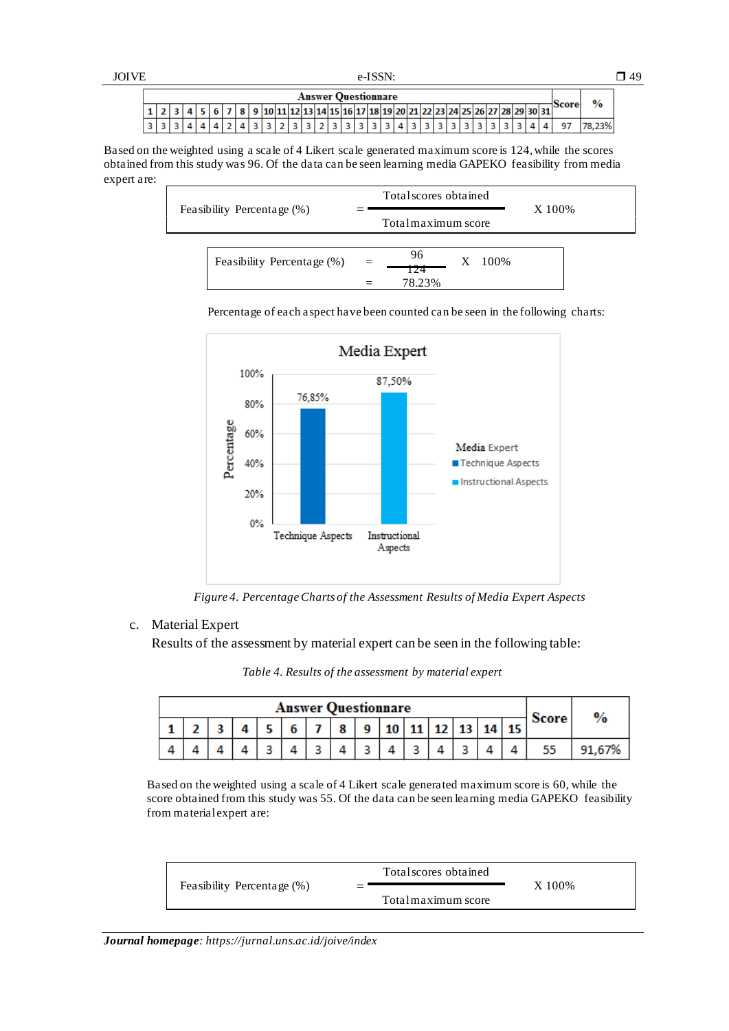|--|--|

| <b>Answer Questionnare</b> |  |  |  |  |  |                          |  |  |  |  |  |  |  |  |  |  |  |  |                                                                              |  |              |     |
|----------------------------|--|--|--|--|--|--------------------------|--|--|--|--|--|--|--|--|--|--|--|--|------------------------------------------------------------------------------|--|--------------|-----|
|                            |  |  |  |  |  | $A$ $\leq$ $\leq$ $\leq$ |  |  |  |  |  |  |  |  |  |  |  |  | 7   8   9  10 11 12 13 14 15 16 17 18 19 20 21 22 23 24 25 26 27 28 29 30 31 |  | <b>Score</b> |     |
|                            |  |  |  |  |  |                          |  |  |  |  |  |  |  |  |  |  |  |  |                                                                              |  |              | 23% |

Based on the weighted using a scale of 4 Likert scale generated maximum score is 124, while the scores obtained from this study was 96. Of the data can be seen learning media GAPEKO feasibility from media expert are:





Percentage of each aspect have been counted can be seen in the following charts:

 *Figure 4. Percentage Charts of the Assessment Results of Media Expert Aspects*

# c. Material Expert

 $\mathsf{I}$ 

Results of the assessment by material expert can be seen in the following table:

| <b>Answer Questionnare</b> |  |  |  |  |  |   |   |  |  |                               |  |  |  | <b>Score</b> | $\frac{9}{6}$ |
|----------------------------|--|--|--|--|--|---|---|--|--|-------------------------------|--|--|--|--------------|---------------|
|                            |  |  |  |  |  | ۰ | a |  |  | $10$   11   12   13   14   15 |  |  |  |              |               |
|                            |  |  |  |  |  |   |   |  |  |                               |  |  |  |              | 91.67%        |

*Table 4. Results of the assessment by material expert*

Based on the weighted using a scale of 4 Likert scale generated maximum score is 60, while the score obtained from this study was 55. Of the data can be seen learning media GAPEKO feasibility from material expert are:

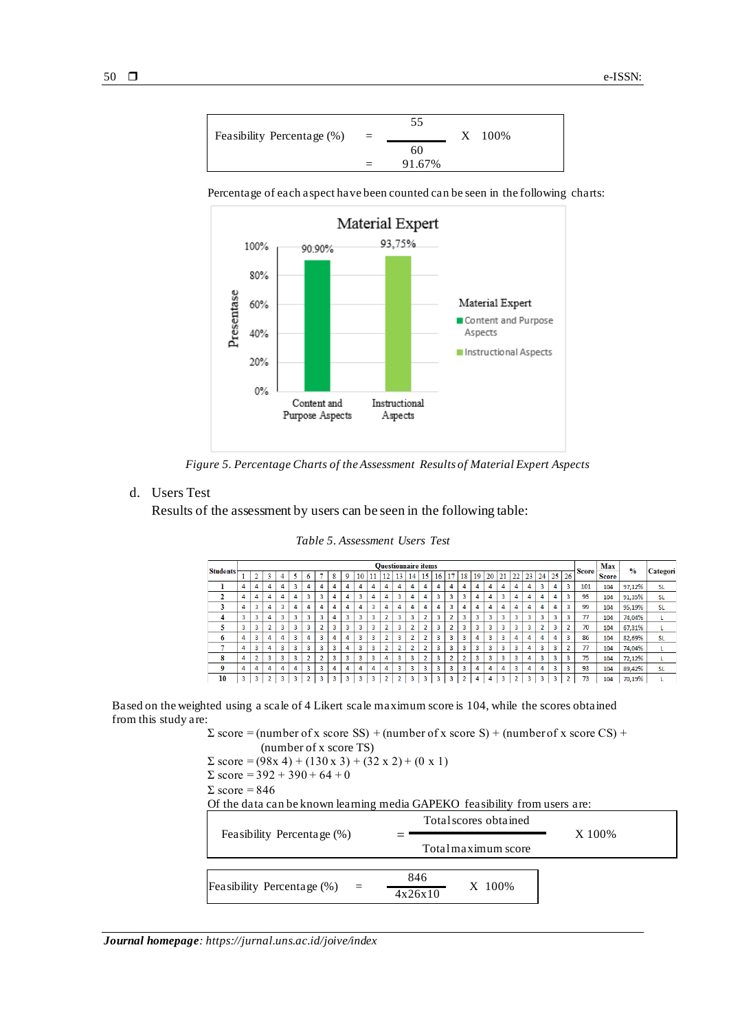

Percentage of each aspect have been counted can be seen in the following charts:



 *Figure 5. Percentage Charts of the Assessment Results of Material Expert Aspects*

# d. Users Test

Results of the assessment by users can be seen in the following table:

|                 |   |                |                |   |   |                |                |   |                         |                |    |                |                | <b>Questionnaire items</b> |                |    |                |                |    |    |    |                |              |                |    |                        |              | Max          | $\frac{0}{0}$ |           |
|-----------------|---|----------------|----------------|---|---|----------------|----------------|---|-------------------------|----------------|----|----------------|----------------|----------------------------|----------------|----|----------------|----------------|----|----|----|----------------|--------------|----------------|----|------------------------|--------------|--------------|---------------|-----------|
| <b>Students</b> |   | $\sim$<br>∡    | 3              | 4 | 5 | 6              |                | 8 | 9                       | 10             | 11 | 12             | 13             | 14                         | 15             | 16 | 17             | 18             | 19 | 20 | 21 | 22             | 23           | 24             | 25 | 26                     | <b>Score</b> | <b>Score</b> |               | Categori  |
|                 | 4 | 4              | 4              | 4 | 3 | 4              | 4              | 4 | 4                       | 4              | 4  | 4              | 4              | 4                          | 4              | 4  | 4              | 4              | 4  | 4  | 4  | 4              | 4            | 3              | 4  | 3                      | 101          | 104          | 97,12%        | <b>SL</b> |
| 2               | 4 | 4              | 4              | 4 | 4 | 3              | 3              | 4 | 4                       | 3              | 4  | 4              | 3              | 4                          | 4              | 3  | 3              | 3              | 4  | 4  | 3  | 4              | 4            | 4              | 4  | 3                      | 95           | 104          | 91.35%        | <b>SL</b> |
| 3               | 4 | 3              | 4              | 3 | 4 | 4              | 4              | 4 | 4                       | 4              | 3  | 4              | 4              | 4                          | 4              | 4  | 3              | 4              | 4  | 4  | 4  | 4              | 4            | 4              | 4  | 3                      | 99           | 104          | 95,19%        | <b>SL</b> |
| 4               | 3 | 3              | 4              | 3 | 3 | 3              | 3              | 4 | $\overline{\mathbf{3}}$ | 3              | 3  | <sup>2</sup>   | 3              | 3                          | $\overline{2}$ | 3  | $\overline{2}$ | 3              | 3  | 3  | 3  | 3              | $\mathbf{3}$ | 3              | 3  | з                      | 77           | 104          | 74,04%        |           |
| 5               | 3 | 3              | $\overline{2}$ | 3 | 3 | 3              | 2              | 3 | 3                       | 3              | 3  | <b>D</b>       | 3              | $\overline{2}$             | $\overline{2}$ | 3  | $\overline{2}$ | 3              | 3  | 3  | 3  | 3              | $\mathbf{R}$ | $\overline{2}$ | 3  | $\mathbf{\mathcal{L}}$ | 70           | 104          | 67,31%        |           |
| 6               | 4 | 3              | 4              | 4 | 3 | 4              | 3              | 4 | 4                       | 3              | 3  | n              | 3              | n                          | $\overline{2}$ | 3  | 3              | 3              | 4  | 3  | 3  | 4              | 4            | 4              | 4  | 3                      | 86           | 104          | 82.69%        | <b>SL</b> |
| н               | 4 | 3              | 4              | 3 | 3 | 3              | 3              | 3 | 4                       | 3              | 3  | $\overline{2}$ | $\overline{a}$ | $\overline{2}$             | $\overline{2}$ | 3  | 3              | 3              | 3  | 3  | 3  | 3              | 4            | 3              | 3  | $\overline{2}$         | 77           | 104          | 74,04%        |           |
| 8               | 4 | $\overline{2}$ | 3              | 3 | 3 | $\overline{2}$ | $\overline{2}$ | 3 | $\overline{3}$          | $\overline{3}$ | 3  | 4              | 3              | 3                          | $\overline{2}$ | 3  | $\overline{2}$ | $\overline{2}$ | 3  | 3  | 3  | 3              | 4            | 3              | 3  | 3                      | 75           | 104          | 72,12%        |           |
| 9               | 4 | 4              | 4              | 4 | 4 | 3              | 3              | 4 | 4                       | 4              | 4  | 4              | 3              | 3                          | 3              | 3  | 3              | 3              | 4  | 4  | 4  | 3              | 4            | 4              | 3  | 3                      | 93           | 104          | 89,42%        | <b>SL</b> |
| 10              | 3 | 3              | $\overline{2}$ | 3 | 3 | $\overline{2}$ | 3              | 3 | 3                       | 3              | 3  | n.             | o              | 3                          | 3              | 3  | 3              | $\overline{2}$ | 4  | 4  | 3  | $\overline{2}$ | 3            | 3              | 3  | n                      | 73           | 104          | 70,19%        |           |

# *Table 5. Assessment Users Test*

Based on the weighted using a scale of 4 Likert scale maximum score is 104, while the scores obtained from this study are:

> $\Sigma$  score = (number of x score SS) + (number of x score S) + (number of x score CS) + (number of x score TS)  $\Sigma$  score = (98x 4) + (130 x 3) + (32 x 2) + (0 x 1)

 $\Sigma$  score = 392 + 390 + 64 + 0

$$
\Sigma\ score = 846
$$

Of the data can be known learning media GAPEKO feasibility from users are:

| Feasibility Percentage (%)                   | Total scores obtained    | X 100% |
|----------------------------------------------|--------------------------|--------|
|                                              | Total maximum score      |        |
|                                              |                          |        |
| Feasibility Percentage (%)<br>$\mathbf{r} =$ | 846<br>X 100%<br>4x26x10 |        |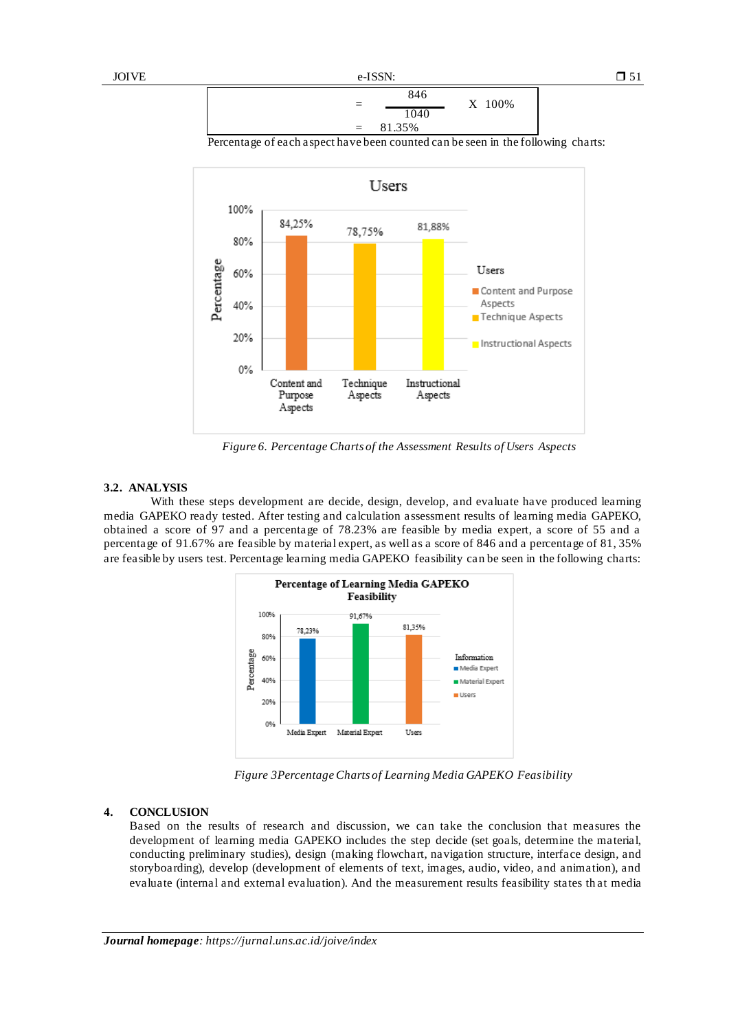

Percentage of each aspect have been counted can be seen in the following charts:



 *Figure 6. Percentage Charts of the Assessment Results of Users Aspects*

### **3.2. ANALYSIS**

With these steps development are decide, design, develop, and evaluate have produced learning media GAPEKO ready tested. After testing and calculation assessment results of learning media GAPEKO, obtained a score of 97 and a percentage of 78.23% are feasible by media expert, a score of 55 and a percentage of 91.67% are feasible by material expert, as well as a score of 846 and a percentage of 81, 35% are feasible by users test. Percentage learning media GAPEKO feasibility can be seen in the following charts:



*Figure 3Percentage Charts of Learning Media GAPEKO Feasibility*

#### **4. CONCLUSION**

Based on the results of research and discussion, we can take the conclusion that measures the development of learning media GAPEKO includes the step decide (set goals, determine the material, conducting preliminary studies), design (making flowchart, navigation structure, interface design, and storyboarding), develop (development of elements of text, images, audio, video, and animation), and evaluate (internal and external evaluation). And the measurement results feasibility states th at media